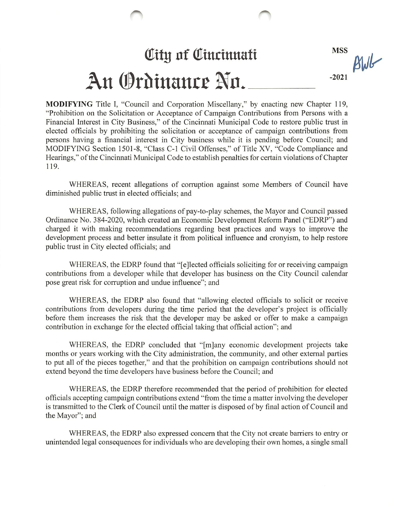## **City of Cincinnati** An Ordinance No.

MSS  $B1$ -2021

MODIFYING Title I, "Council and Corporation Miscellany," by enacting new Chapter 119, "Prohibition on the Solicitation or Acceptance of Campaign Contributions from Persons with a Financial Interest in City Business," of the Cincinnati Municipal Code to restore public trust in elected officials by prohibiting the solicitation or acceptance of campaign contributions from persons having a financial interest in City business while it is pending before Council; and MODIFYING Section 1501-8, "Class C-1 Civil Offenses," of Title XV, "Code Compliance and Hearings," of the Cincinnati Municipal Code to establish penalties for certain violations of Chapter 119.

WHEREAS, recent allegations of corruption against some Members of Council have diminished public trust in elected officials; and

WHEREAS, following allegations of pay-to-play schemes, the Mayor and Council passed Ordinance No. 384-2020, which created an Economic Development Reform Panel ("EDRP") and charged it with making recommendations regarding best practices and ways to improve the development process and better insulate it from political influence and cronyism, to help restore public trust in City elected officials; and

WHEREAS, the EDRP found that "[e]lected officials soliciting for or receiving campaign contributions from a developer while that developer has business on the City Council calendar pose great risk for corruption and undue influence"; and

WHEREAS, the EDRP also found that "allowing elected officials to solicit or receive contributions from developers during the time period that the developer's project is officially before them increases the risk that the developer may be asked or offer to make a campaign contribution in exchange for the elected official taking that official action"; and

WHEREAS, the EDRP concluded that "[m]any economic development projects take months or years working with the City administration, the community, and other external parties to put all of the pieces together," and that the prohibition on campaign contributions should not extend beyond the time developers have business before the Council; and

WHEREAS, the EDRP therefore recommended that the period of prohibition for elected officials accepting campaign contributions extend "from the time a matter involving the developer is transmitted to the Clerk of Council until the matter is disposed of by final action of Council and the Mayor"; and

WHEREAS, the EDRP also expressed concem that the City not create barriers to entry or unintended legal consequences for individuals who are developing their own homes, a single small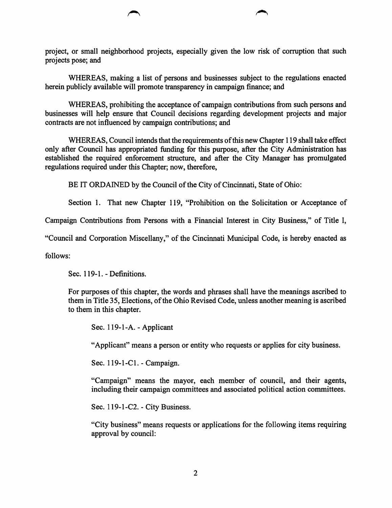project, or small neighborhood projects, especially given the low risk of corruption that such projects pose; and

WHEREAS, making a list of persons and businesses subject to the regulations enacted herein publicly available will promote transparency in campaign finance; and

WHEREAS, prohibiting the acceptance of campaign contributions from such persons and businesses will help ensure that Council decisions regarding development projects and major contracts are not influenced by campaign contributions; and

WHEREAS, Council intends that the requirements of this new Chapter 119 shall take effect only after Council has appropriated fimding for this purpose, after the City Administration has established the required enforcement structure, and after the City Manager has promulgated regulations required under this Chapter; now, therefore,

BE IT ORDAINED by the Council of the City of Cincinnati, State of Ohio:

Section 1. That new Chapter 119, "Prohibition on the Solicitation or Acceptance of

Campaign Contributions from Persons with a Financial Interest in City Business," of Title I,

"Council and Corporation Miscellany," of the Cincinnati Municipal Code, is hereby enacted as

follows:

Sec. 119-1. - Definitions.

For purposes of this chapter, the words and phrases shall have the meanings ascribed to them in Title 35, Elections, of the Ohio Revised Code, unless another meaning is ascribed to them in this chapter.

Sec. 119-1-A. - Applicant

"Applicant" means a person or entity who requests or applies for city business.

Sec. 119-1-Cl. - Campaign.

"Campaign" means the mayor, each member of council, and their agents, including their campaign committees and associated political action committees.

Sec. 119-1-C2. - City Business.

"City business" means requests or applications for the following items requiring approval by council: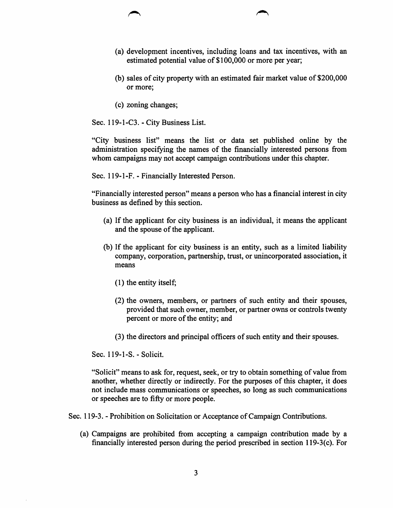- (a) development incentives, including loans and tax incentives, with an estimated potential value of \$100,000 or more per year;
- (b) sales of city property with an estimated fair market value of \$200,000 or more;
- (c) zoning changes;

Sec. 119-1-C3. - City Business List.

"City business list" means the list or data set published online by the administration specifying the names of the financially interested persons from whom campaigns may not accept campaign contributions under this chapter.

Sec. 119-1-F. - Financially Interested Person.

"Financially interested person" means a person who has a financial interest in city business as defined by this section.

- (a) If the applicant for city business is an individual, it means the applicant and the spouse of the applicant.
- (b) If the applicant for city business is an entity, such as a limited liability company, corporation, partnership, trust, or unincorporated association, it means
	- (1) the entity itself;
	- (2) the owners, members, or partners of such entity and their spouses, provided that such owner, member, or partner owns or controls twenty percent or more of the entity; and
	- (3) the directors and principal officers of such entity and their spouses.

Sec. 119-1-S.-Solicit.

"Solicit" means to ask for, request, seek, or try to obtain something of value from another, whether directly or indirectly. For the purposes of this chapter, it does not include mass communications or speeches, so long as such communications or speeches are to fifty or more people.

Sec. 119-3. - Prohibition on Solicitation or Acceptance of Campaign Contributions.

(a) Campaigns are prohibited from accepting a campaign contribution made by a financially interested person during the period prescribed in section 119-3(c). For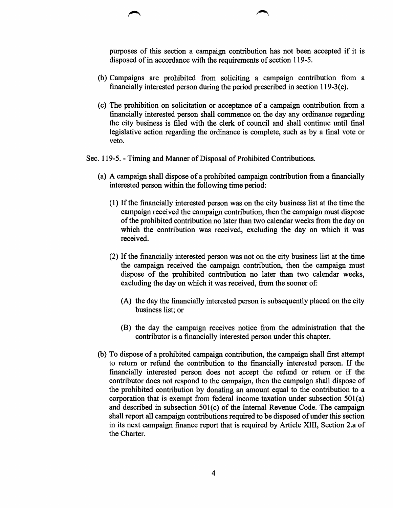purposes of this section a campaign contribution has not been accepted if it is disposed of in accordance with the requirements of section 119-5.

- (b) Campaigns are prohibited from soliciting a campaign contribution from a financially interested person during the period prescribed in section 119-3(c).
- (c) The prohibition on solicitation or acceptance of a campaign contribution from a financially interested person shall commence on the day any ordinance regarding the city business is filed with the clerk of council and shall continue until final legislative action regarding the ordinance is complete, such as by a final vote or veto.

Sec. 119-5. - Timing and Manner of Disposal of Prohibited Contributions.

- (a) A campaign shall dispose of a prohibited campaign contribution from a financially interested person within the following time period:
	- (1) If the financially interested person was on the city business list at the time the campaign received the campaign contribution, then the campaign must dispose of the prohibited contribution no later than two calendar weeks from the day on which the contribution was received, excluding the day on which it was received.
	- (2) If the financially interested person was not on the city business list at the time the campaign received the campaign contribution, then the campaign must dispose of the prohibited contribution no later than two calendar weeks, excluding the day on which it was received, from the sooner of:
		- (A) the day the financially interested person is subsequently placed on the city business list; or
		- (B) the day the campaign receives notice from the administration that the contributor is a financially interested person under this chapter.
- (b) To dispose of a prohibited campaign contribution, the campaign shall first attempt to return or refund the contribution to the financially interested person. If the financially interested person does not accept the refund or return or if the contributor does not respond to the campaign, then the campaign shall dispose of the prohibited contribution by donating an amount equal to the contribution to a corporation that is exempt from federal income taxation under subsection 501(a) and described in subsection 501(c) of the Intemal Revenue Code. The campaign shall report all campaign contributions required to be disposed of under this section in its next campaign finance report that is required by Article XIII, Section 2.a of the Charter.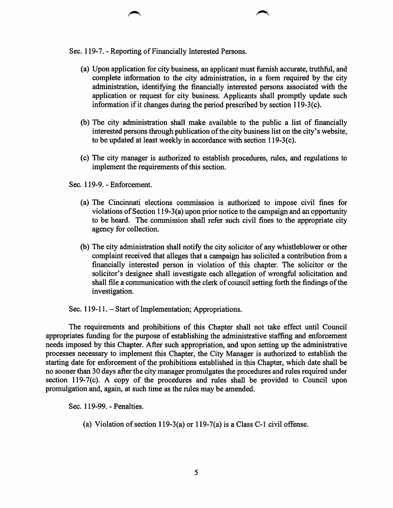Sec. 119-7. - Reporting of Financially Interested Persons.

- (a) Upon application for city business, an applicant must furnish accurate, truthful, and complete information to the city administration, in a form required by the city administration, identifying the financially interested persons associated with the application or request for city business. Applicants shall promptly update such information if it changes during the period prescribed by section 119-3(c).
- (b) The city administration shall make available to the public a list of financially interested persons through publication of the city business list on the city's website, to be updated at least weekly in accordance with section 119-3(c).
- (c) The city manager is authorized to establish procedures, rules, and regulations to implement the requirements of this section.

Sec. 119-9. - Enforcement.

- (a) The Cincinnati elections commission is authorized to impose civil fines for violations of Section 119-3(a) upon prior notice to the campaign and an opportunity to be heard. The commission shall refer such civil fines to the appropriate city agency for collection.
- (b) The city administration shall notify the city solicitor of any whistleblower or other complaint received that alleges that a campaign has solicited a contribution from a financially interested person in violation of this chapter. The solicitor or the solicitor's designee shall investigate each allegation of wrongful solicitation and shall file a communication with the clerk of council setting forth the findings of the investigation.

Sec. 119-11. – Start of Implementation; Appropriations.

The requirements and prohibitions of this Chapter shall not take effect until Council appropriates funding for the purpose of establishing the administrative staffing and enforcement needs imposed by this Chapter. After such appropriation, and upon setting up the administrative processes necessary to implement this Chapter, the City Manager is authorized to establish the starting date for enforcement of the prohibitions established in this Chapter, which date shall be no sooner than 30 days after the city manager promulgates the procedures and rules required under section 119-7(c). A copy of the procedures and rules shall be provided to Council upon promulgation and, again, at such time as the rules may be amended.

Sec. 119-99. - Penalties.

(a) Violation of section 119-3(a) or 119-7(a) is a Class C-1 civil offense.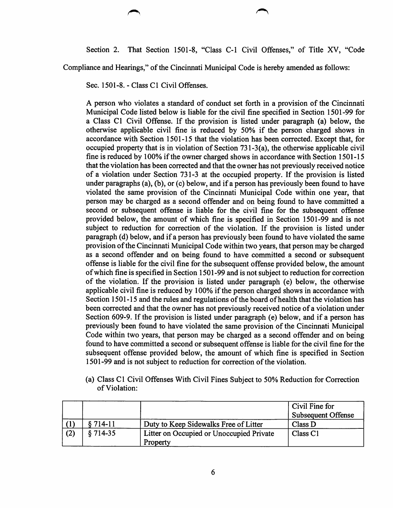Section 2. That Section 1501-8, "Class C-1 Civil Offenses," of Title XV, "Code

Compliance and Hearings," of the Cincinnati Municipal Code is hereby amended as follows:

Sec. 1501-8. - Class C1 Civil Offenses.

A person who violates a standard of conduct set forth in a provision of the Cincinnati Municipal Code listed below is liable for the civil fine specified in Section 1501-99 for a Class C1 Civil Offense. If the provision is listed under paragraph (a) below, the otherwise applicable civil fine is reduced by 50% if the person charged shows in accordance with Section 1501-15 that the violation has been corrected. Except that, for occupied property that is in violation of Section 731-3(a), the otherwise applicable civil fine is reduced by 100% if the owner charged shows in accordance with Section 1501-15 that the violation has been corrected and that the owner has not previously received notice of a violation under Section 731-3 at the occupied property. If the provision is listed under paragraphs (a), (b), or (c) below, and if a person has previously been found to have violated the same provision of the Cincinnati Municipal Code within one year, that person may be charged as a second offender and on being found to have committed a second or subsequent offense is liable for the civil fine for the subsequent offense provided below, the amount of which fine is specified in Section 1501-99 and is not subject to reduction for correction of the violation. If the provision is listed under paragraph (d) below, and if a person has previously been found to have violated the same provision of the Cincinnati Municipal Code within two years, that person may be charged as a second offender and on being found to have committed a second or subsequent offense is liable for the civil fine for the subsequent offense provided below, the amount of which fine is specified in Section 1501-99 and is not subject to reduction for correction of the violation. If the provision is listed under paragraph (e) below, the otherwise applicable civil fine is reduced by 100% if the person charged shows in accordance with Section 1501-15 and the rules and regulations of the board of health that the violation has been corrected and that the owner has not previously received notice of a violation under Section 609-9. If the provision is listed under paragraph (e) below, and if a person has previously been found to have violated the same provision of the Cincinnati Municipal Code within two years, that person may be charged as a second offender and on being found to have committed a second or subsequent offense is liable for the civil fine for the subsequent offense provided below, the amount of which fine is specified in Section 1501-99 and is not subject to reduction for correction of the violation.

(a) Class C1 Civil Offenses With Civil Fines Subject to 50% Reduction for Correction of Violation:

|     |            |                                          | Civil Fine for            |
|-----|------------|------------------------------------------|---------------------------|
|     |            |                                          | <b>Subsequent Offense</b> |
|     | 8 714-11   | Duty to Keep Sidewalks Free of Litter    | Class D                   |
| (2) | $§ 714-35$ | Litter on Occupied or Unoccupied Private | Class <sub>C1</sub>       |
|     |            | Property                                 |                           |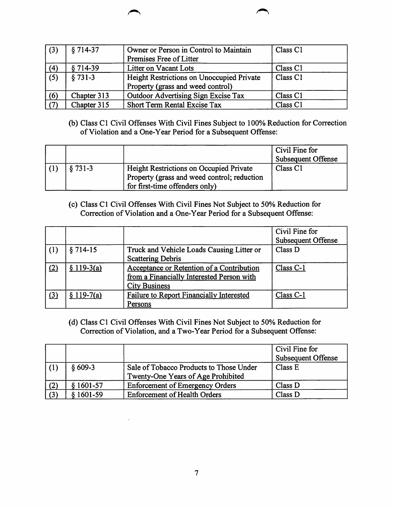| $\mid$ (3)  | $$714-37$   | Owner or Person in Control to Maintain    | Class <sub>C1</sub> |
|-------------|-------------|-------------------------------------------|---------------------|
|             |             | Premises Free of Litter                   |                     |
| (4)         | §714-39     | Litter on Vacant Lots                     | Class <sub>C1</sub> |
| (5)         | $§ 731-3$   | Height Restrictions on Unoccupied Private | Class <sub>C1</sub> |
|             |             | Property (grass and weed control)         |                     |
| (6)         | Chapter 313 | Outdoor Advertising Sign Excise Tax       | Class <sub>C1</sub> |
| $\vert$ (7) | Chapter 315 | Short Term Rental Excise Tax              | Class <sub>C1</sub> |

(b) Class C1 Civil Offenses With Civil Fines Subject to 100% Reduction for Correction of Violation and a One-Year Period for a Subsequent Offense:

|          |                                                | Civil Fine for<br><b>Subsequent Offense</b> |
|----------|------------------------------------------------|---------------------------------------------|
| $$731-3$ | <b>Height Restrictions on Occupied Private</b> | Class <sub>C1</sub>                         |
|          | Property (grass and weed control; reduction    |                                             |
|          | for first-time offenders only)                 |                                             |

(c) Class C1 Civil Offenses With Civil Fines Not Subject to 50% Reduction for Correction of Violation and a One-Year Period for a Subsequent Offense:

|                   |             |                                                                                                                | Civil Fine for<br><b>Subsequent Offense</b> |
|-------------------|-------------|----------------------------------------------------------------------------------------------------------------|---------------------------------------------|
| (1)               | $$714-15$   | Truck and Vehicle Loads Causing Litter or<br><b>Scattering Debris</b>                                          | Class D                                     |
| $\left( 2\right)$ | $$119-3(a)$ | Acceptance or Retention of a Contribution<br>from a Financially Interested Person with<br><b>City Business</b> | $Class C-1$                                 |
| $\left( 3\right)$ | $$119-7(a)$ | Failure to Report Financially Interested<br>Persons                                                            | Class C-1                                   |

(d) Class C1 Civil Offenses With Civil Fines Not Subject to 50% Reduction for Correction of Violation, and a Two-Year Period for a Subsequent Offense:

|     |             |                                                                               | Civil Fine for<br><b>Subsequent Offense</b> |
|-----|-------------|-------------------------------------------------------------------------------|---------------------------------------------|
| (1) | $$609-3$    | Sale of Tobacco Products to Those Under<br>Twenty-One Years of Age Prohibited | Class E                                     |
| (2) | $$1601-57$  | <b>Enforcement of Emergency Orders</b>                                        | Class D                                     |
| (3) | $1601 - 59$ | <b>Enforcement of Health Orders</b>                                           | Class D                                     |